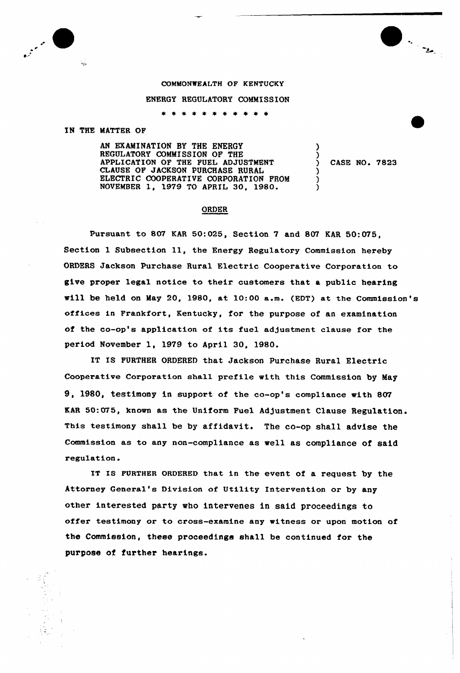

## COMMONWEALTH OF KENTUCKY

## ENERGY REGULATORY COMMISSION

\* \* \* \* \* \* \* \* \* \* \*

## IN THE MATTER OF

AN EXAMINATION BY THE ENERGY REGULATORY COMMISSION OF THE APPLICATION OF THE FUEL ADJUSTMENT CLAUSE OF JACKSON PURCHASE RURAL ELECTRIC COOPERATIVE CORPORATION FROM NOVEMBER 1, 1979 TO APRIL 30, 1980.

) CASE NO. 7823

) )

) ) )

## ORDER

Pursuant to 807 KAR 50:025, Section 7 and 807 KAR 50:075, Section 1 Subsection 11, the Energy Regulatory Commission hereby ORDERS Jackson Purchase Rural Electric Cooperative Corporation to give proper legal notice to their customers that a public hearing vill be held on May 20, 1980, at 10:00 a.m. (EDT) at \*he Commission's offices in Frankfort, Kentucky, for the purpose of an examination of the co-op's application of its fuel adjustment clause for the period November 1, 1979 to April 30, 1980.

IT IS FURTHER ORDERED that Jackson Purchase Rural Electric Cooperative Corporation shall prefile with this Commission by May 9, 1980, testimony in support of the co-op's compliance with 807 KAR 50:075, known as the Uniform Fuel Adjustment Clause Regulation. This testimony shall be by affidavit. The co-op shall advise the Commission as to any non-compliance as well as compliance of said regulation.

IT IS FURTHER ORDERED that in the event of a request by the Attorney General's Division of Utility Intervention or by any other interested party who intervenes in said proceedings to offer testimony or to cross-examine any witness or upon motion of the Commission, these proceedings shall be continued for the purpose of further hearings.